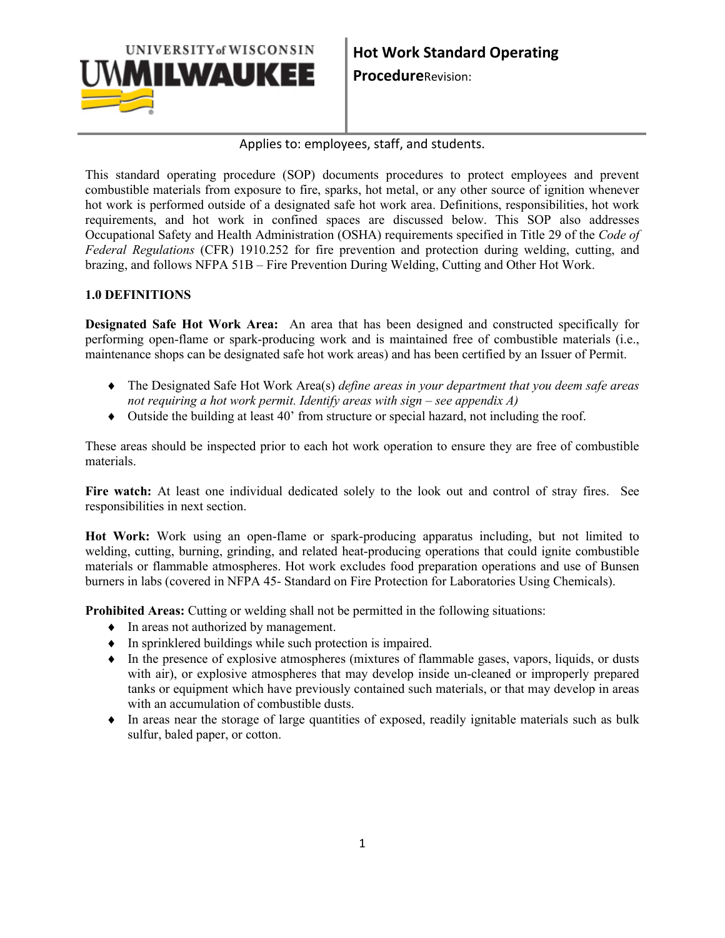

#### Applies to: employees, staff, and students.

This standard operating procedure (SOP) documents procedures to protect employees and prevent combustible materials from exposure to fire, sparks, hot metal, or any other source of ignition whenever hot work is performed outside of a designated safe hot work area. Definitions, responsibilities, hot work requirements, and hot work in confined spaces are discussed below. This SOP also addresses Occupational Safety and Health Administration (OSHA) requirements specified in Title 29 of the *Code of Federal Regulations* (CFR) 1910.252 for fire prevention and protection during welding, cutting, and brazing, and follows NFPA 51B – Fire Prevention During Welding, Cutting and Other Hot Work.

#### **1.0 DEFINITIONS**

**Designated Safe Hot Work Area:** An area that has been designed and constructed specifically for performing open-flame or spark-producing work and is maintained free of combustible materials (i.e., maintenance shops can be designated safe hot work areas) and has been certified by an Issuer of Permit.

- ♦ The Designated Safe Hot Work Area(s) *define areas in your department that you deem safe areas not requiring a hot work permit. Identify areas with sign – see appendix A)*
- ♦ Outside the building at least 40' from structure or special hazard, not including the roof.

These areas should be inspected prior to each hot work operation to ensure they are free of combustible materials.

**Fire watch:** At least one individual dedicated solely to the look out and control of stray fires. See responsibilities in next section.

**Hot Work:** Work using an open-flame or spark-producing apparatus including, but not limited to welding, cutting, burning, grinding, and related heat-producing operations that could ignite combustible materials or flammable atmospheres. Hot work excludes food preparation operations and use of Bunsen burners in labs (covered in NFPA 45- Standard on Fire Protection for Laboratories Using Chemicals).

**Prohibited Areas:** Cutting or welding shall not be permitted in the following situations:

- ♦ In areas not authorized by management.
- ♦ In sprinklered buildings while such protection is impaired.
- ♦ In the presence of explosive atmospheres (mixtures of flammable gases, vapors, liquids, or dusts with air), or explosive atmospheres that may develop inside un-cleaned or improperly prepared tanks or equipment which have previously contained such materials, or that may develop in areas with an accumulation of combustible dusts.
- ♦ In areas near the storage of large quantities of exposed, readily ignitable materials such as bulk sulfur, baled paper, or cotton.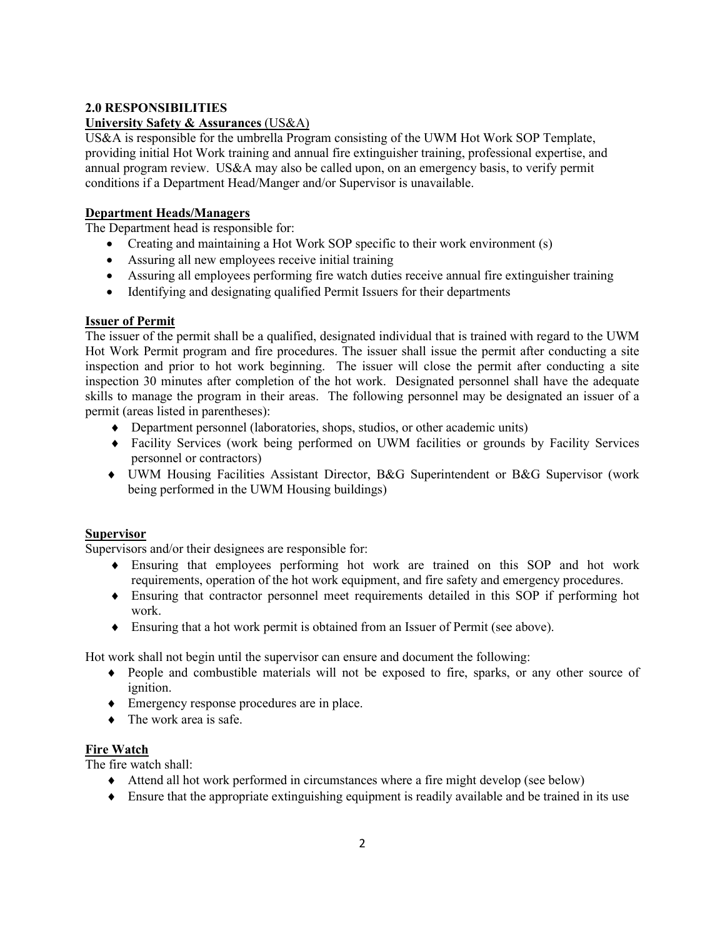#### **2.0 RESPONSIBILITIES**

#### **University Safety & Assurances** (US&A)

US&A is responsible for the umbrella Program consisting of the UWM Hot Work SOP Template, providing initial Hot Work training and annual fire extinguisher training, professional expertise, and annual program review. US&A may also be called upon, on an emergency basis, to verify permit conditions if a Department Head/Manger and/or Supervisor is unavailable.

#### **Department Heads/Managers**

The Department head is responsible for:

- Creating and maintaining a Hot Work SOP specific to their work environment (s)
- Assuring all new employees receive initial training
- Assuring all employees performing fire watch duties receive annual fire extinguisher training
- Identifying and designating qualified Permit Issuers for their departments

#### **Issuer of Permit**

The issuer of the permit shall be a qualified, designated individual that is trained with regard to the UWM Hot Work Permit program and fire procedures. The issuer shall issue the permit after conducting a site inspection and prior to hot work beginning. The issuer will close the permit after conducting a site inspection 30 minutes after completion of the hot work. Designated personnel shall have the adequate skills to manage the program in their areas. The following personnel may be designated an issuer of a permit (areas listed in parentheses):

- ♦ Department personnel (laboratories, shops, studios, or other academic units)
- ♦ Facility Services (work being performed on UWM facilities or grounds by Facility Services personnel or contractors)
- ♦ UWM Housing Facilities Assistant Director, B&G Superintendent or B&G Supervisor (work being performed in the UWM Housing buildings)

#### **Supervisor**

Supervisors and/or their designees are responsible for:

- ♦ Ensuring that employees performing hot work are trained on this SOP and hot work requirements, operation of the hot work equipment, and fire safety and emergency procedures.
- ♦ Ensuring that contractor personnel meet requirements detailed in this SOP if performing hot work.
- ♦ Ensuring that a hot work permit is obtained from an Issuer of Permit (see above).

Hot work shall not begin until the supervisor can ensure and document the following:

- ♦ People and combustible materials will not be exposed to fire, sparks, or any other source of ignition.
- ♦ Emergency response procedures are in place.
- $\bullet$  The work area is safe.

#### **Fire Watch**

The fire watch shall:

- ♦ Attend all hot work performed in circumstances where a fire might develop (see below)
- ♦ Ensure that the appropriate extinguishing equipment is readily available and be trained in its use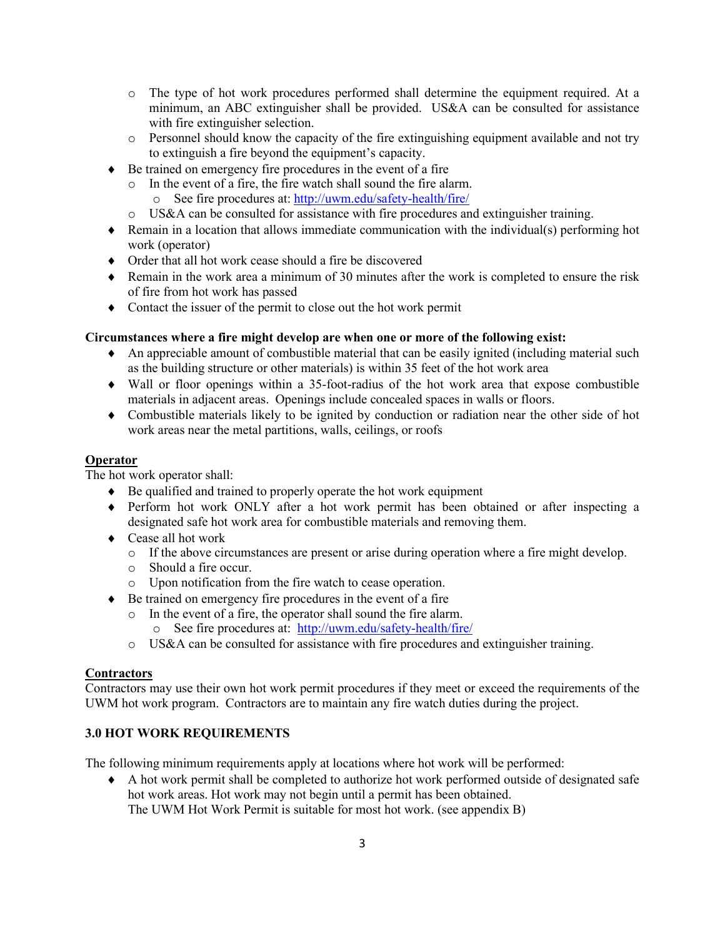- o The type of hot work procedures performed shall determine the equipment required. At a minimum, an ABC extinguisher shall be provided. US&A can be consulted for assistance with fire extinguisher selection.
- $\circ$  Personnel should know the capacity of the fire extinguishing equipment available and not try to extinguish a fire beyond the equipment's capacity.
- ♦ Be trained on emergency fire procedures in the event of a fire
	- o In the event of a fire, the fire watch shall sound the fire alarm.
		- o See fire procedures at: <http://uwm.edu/safety-health/fire/>
	- o US&A can be consulted for assistance with fire procedures and extinguisher training.
- ♦ Remain in a location that allows immediate communication with the individual(s) performing hot work (operator)
- ♦ Order that all hot work cease should a fire be discovered
- ♦ Remain in the work area a minimum of 30 minutes after the work is completed to ensure the risk of fire from hot work has passed
- ♦ Contact the issuer of the permit to close out the hot work permit

#### **Circumstances where a fire might develop are when one or more of the following exist:**

- ♦ An appreciable amount of combustible material that can be easily ignited (including material such as the building structure or other materials) is within 35 feet of the hot work area
- ♦ Wall or floor openings within a 35-foot-radius of the hot work area that expose combustible materials in adjacent areas. Openings include concealed spaces in walls or floors.
- ♦ Combustible materials likely to be ignited by conduction or radiation near the other side of hot work areas near the metal partitions, walls, ceilings, or roofs

#### **Operator**

The hot work operator shall:

- ♦ Be qualified and trained to properly operate the hot work equipment
- ♦ Perform hot work ONLY after a hot work permit has been obtained or after inspecting a designated safe hot work area for combustible materials and removing them.
- ♦ Cease all hot work
	- o If the above circumstances are present or arise during operation where a fire might develop.
	- o Should a fire occur.
	- o Upon notification from the fire watch to cease operation.
- ♦ Be trained on emergency fire procedures in the event of a fire
	- o In the event of a fire, the operator shall sound the fire alarm.<br>  $\frac{1}{2}$  See fire procedures at: http://uwm.edu/safety-health/fire
		- See fire procedures at: <http://uwm.edu/safety-health/fire/>
	- o US&A can be consulted for assistance with fire procedures and extinguisher training.

#### **Contractors**

Contractors may use their own hot work permit procedures if they meet or exceed the requirements of the UWM hot work program. Contractors are to maintain any fire watch duties during the project.

#### **3.0 HOT WORK REQUIREMENTS**

The following minimum requirements apply at locations where hot work will be performed:

♦ A hot work permit shall be completed to authorize hot work performed outside of designated safe hot work areas. Hot work may not begin until a permit has been obtained. The UWM Hot Work Permit is suitable for most hot work. (see appendix B)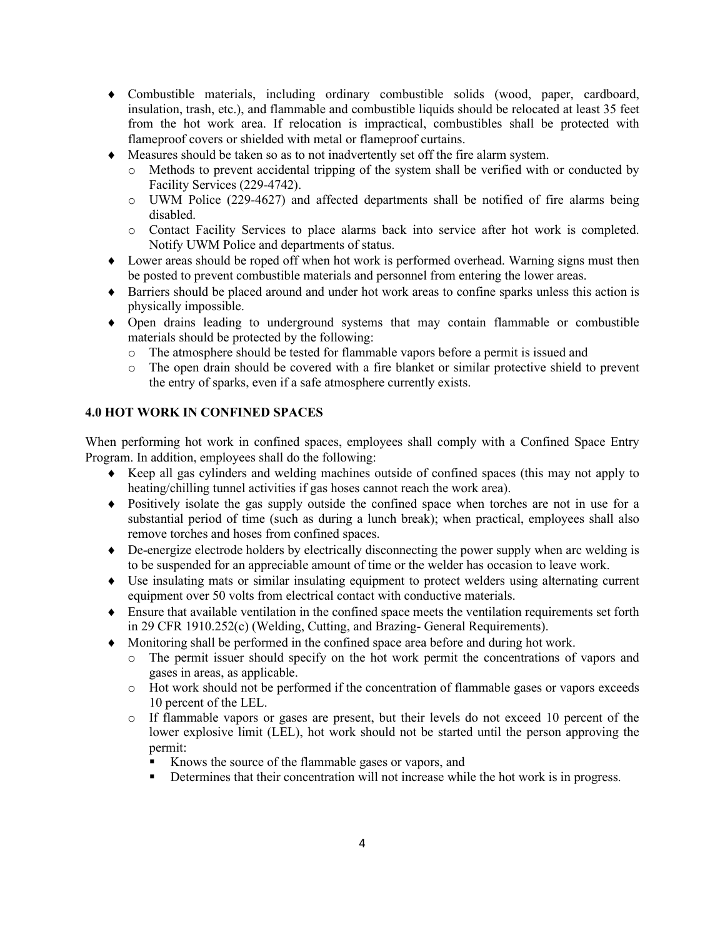- ♦ Combustible materials, including ordinary combustible solids (wood, paper, cardboard, insulation, trash, etc.), and flammable and combustible liquids should be relocated at least 35 feet from the hot work area. If relocation is impractical, combustibles shall be protected with flameproof covers or shielded with metal or flameproof curtains.
- ♦ Measures should be taken so as to not inadvertently set off the fire alarm system.
	- o Methods to prevent accidental tripping of the system shall be verified with or conducted by Facility Services (229-4742).
	- o UWM Police (229-4627) and affected departments shall be notified of fire alarms being disabled.
	- o Contact Facility Services to place alarms back into service after hot work is completed. Notify UWM Police and departments of status.
- ♦ Lower areas should be roped off when hot work is performed overhead. Warning signs must then be posted to prevent combustible materials and personnel from entering the lower areas.
- ♦ Barriers should be placed around and under hot work areas to confine sparks unless this action is physically impossible.
- ♦ Open drains leading to underground systems that may contain flammable or combustible materials should be protected by the following:
	- $\circ$  The atmosphere should be tested for flammable vapors before a permit is issued and  $\circ$  The open drain should be covered with a fire blanket or similar protective shield to
	- The open drain should be covered with a fire blanket or similar protective shield to prevent the entry of sparks, even if a safe atmosphere currently exists.

#### **4.0 HOT WORK IN CONFINED SPACES**

When performing hot work in confined spaces, employees shall comply with a Confined Space Entry Program. In addition, employees shall do the following:

- ♦ Keep all gas cylinders and welding machines outside of confined spaces (this may not apply to heating/chilling tunnel activities if gas hoses cannot reach the work area).
- ♦ Positively isolate the gas supply outside the confined space when torches are not in use for a substantial period of time (such as during a lunch break); when practical, employees shall also remove torches and hoses from confined spaces.
- ♦ De-energize electrode holders by electrically disconnecting the power supply when arc welding is to be suspended for an appreciable amount of time or the welder has occasion to leave work.
- ♦ Use insulating mats or similar insulating equipment to protect welders using alternating current equipment over 50 volts from electrical contact with conductive materials.
- ♦ Ensure that available ventilation in the confined space meets the ventilation requirements set forth in 29 CFR 1910.252(c) (Welding, Cutting, and Brazing- General Requirements).
- ♦ Monitoring shall be performed in the confined space area before and during hot work.
	- o The permit issuer should specify on the hot work permit the concentrations of vapors and gases in areas, as applicable.
	- o Hot work should not be performed if the concentration of flammable gases or vapors exceeds 10 percent of the LEL.
	- o If flammable vapors or gases are present, but their levels do not exceed 10 percent of the lower explosive limit (LEL), hot work should not be started until the person approving the permit:
		- Knows the source of the flammable gases or vapors, and
		- Determines that their concentration will not increase while the hot work is in progress.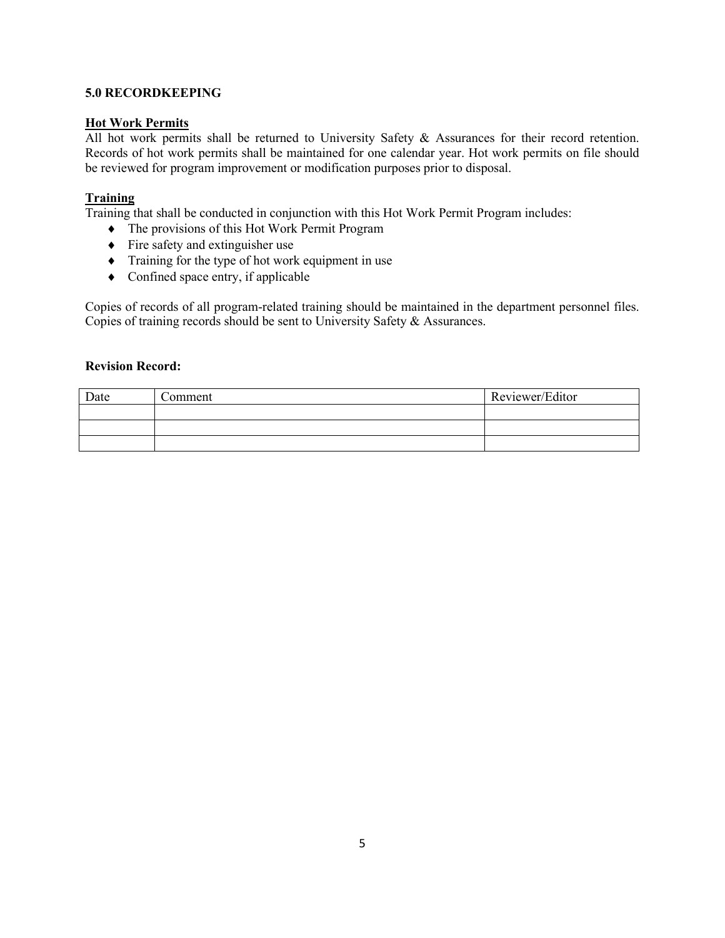#### **5.0 RECORDKEEPING**

#### **Hot Work Permits**

All hot work permits shall be returned to University Safety & Assurances for their record retention. Records of hot work permits shall be maintained for one calendar year. Hot work permits on file should be reviewed for program improvement or modification purposes prior to disposal.

#### **Training**

Training that shall be conducted in conjunction with this Hot Work Permit Program includes:

- ♦ The provisions of this Hot Work Permit Program
- $\triangle$  Fire safety and extinguisher use
- ♦ Training for the type of hot work equipment in use
- ♦ Confined space entry, if applicable

Copies of records of all program-related training should be maintained in the department personnel files. Copies of training records should be sent to University Safety & Assurances.

#### **Revision Record:**

| Date | ∠omment | Reviewer/Editor |
|------|---------|-----------------|
|      |         |                 |
|      |         |                 |
|      |         |                 |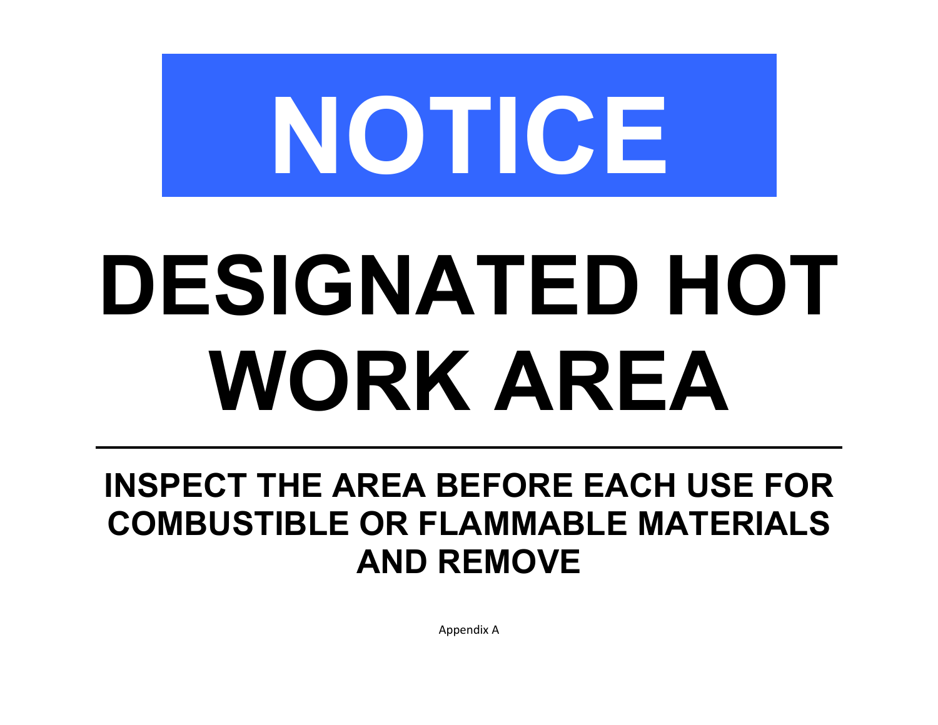

# **DESIGNATED HOT WORK AREA**

## **INSPECT THE AREA BEFORE EACH USE FOR COMBUSTIBLE OR FLAMMABLE MATERIALS AND REMOVE**

Appendix A